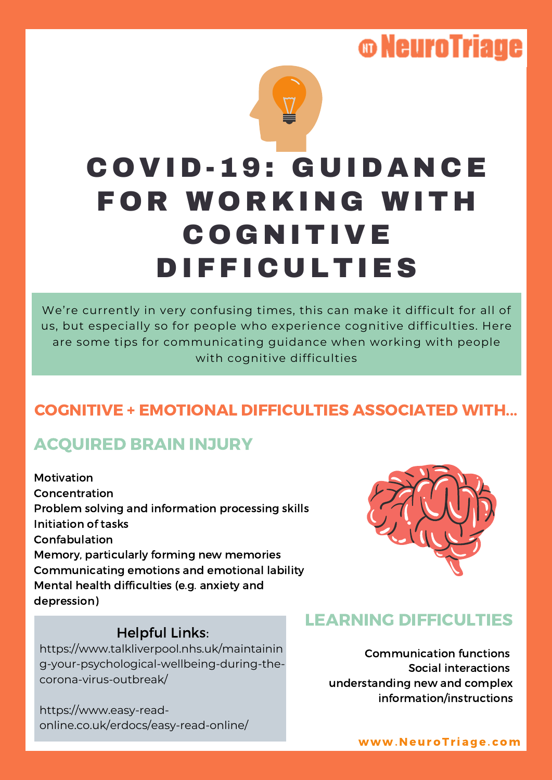## **© NeuroTriage**

# C O VID-19: G U IDA N CE **FOR WORKING WITH COGNITIVE DIFFICULTIES**

We're currently in very confusing times, this can make it difficult for all of us, but especially so for people who experience cognitive difficulties. Here are some tips for communicating guidance when working with people with cognitive difficulties

### COGNITIVE + EMOTIONAL DIFFICULTIES ASSOCIATED WITH...

### ACQUIRED BRAIN INJURY

Motivation Concentration Problem solving and information processing skills Initiation of tasks Confabulation Memory, particularly forming new memories Communicating emotions and emotional lability Mental health difficulties (e.g. anxiety and depression)



#### Helpful Links:

https://www.talkliverpool.nhs.uk/maintainin g-your-psychological-wellbeing-during-thecorona-virus-outbreak/

https://www.easy-readonline.co.uk/erdocs/easy-read-online/

#### LEARNING DIFFICULTIES

Communication functions Social interactions understanding new and complex information/instructions